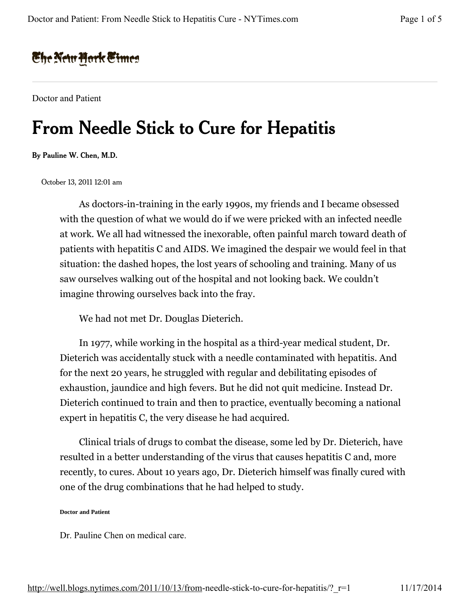## The New Hork Times

Doctor and Patient

# **From Needle Stick to Cure for Hepatitis**

**By Pauline W. Chen, M.D.**

October 13, 2011 12:01 am

As doctors-in-training in the early 1990s, my friends and I became obsessed with the question of what we would do if we were pricked with an infected needle at work. We all had witnessed the inexorable, often painful march toward death of patients with hepatitis C and AIDS. We imagined the despair we would feel in that situation: the dashed hopes, the lost years of schooling and training. Many of us saw ourselves walking out of the hospital and not looking back. We couldn't imagine throwing ourselves back into the fray.

We had not met Dr. Douglas Dieterich.

In 1977, while working in the hospital as a third-year medical student, Dr. Dieterich was accidentally stuck with a needle contaminated with hepatitis. And for the next 20 years, he struggled with regular and debilitating episodes of exhaustion, jaundice and high fevers. But he did not quit medicine. Instead Dr. Dieterich continued to train and then to practice, eventually becoming a national expert in hepatitis C, the very disease he had acquired.

Clinical trials of drugs to combat the disease, some led by Dr. Dieterich, have resulted in a better understanding of the virus that causes hepatitis C and, more recently, to cures. About 10 years ago, Dr. Dieterich himself was finally cured with one of the drug combinations that he had helped to study.

#### **Doctor and Patient**

Dr. Pauline Chen on medical care.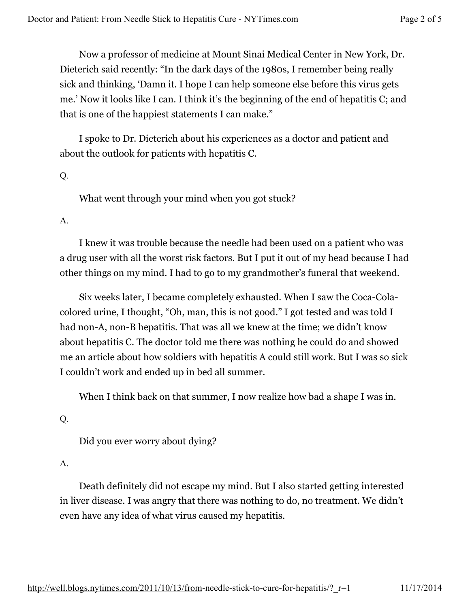Now a professor of medicine at Mount Sinai Medical Center in New York, Dr. Dieterich said recently: "In the dark days of the 1980s, I remember being really sick and thinking, 'Damn it. I hope I can help someone else before this virus gets me.' Now it looks like I can. I think it's the beginning of the end of hepatitis C; and that is one of the happiest statements I can make."

I spoke to Dr. Dieterich about his experiences as a doctor and patient and about the outlook for patients with hepatitis C.

### Q.

What went through your mind when you got stuck?

#### A.

I knew it was trouble because the needle had been used on a patient who was a drug user with all the worst risk factors. But I put it out of my head because I had other things on my mind. I had to go to my grandmother's funeral that weekend.

Six weeks later, I became completely exhausted. When I saw the Coca-Colacolored urine, I thought, "Oh, man, this is not good." I got tested and was told I had non-A, non-B hepatitis. That was all we knew at the time; we didn't know about hepatitis C. The doctor told me there was nothing he could do and showed me an article about how soldiers with hepatitis A could still work. But I was so sick I couldn't work and ended up in bed all summer.

When I think back on that summer, I now realize how bad a shape I was in.

Q.

Did you ever worry about dying?

#### A.

Death definitely did not escape my mind. But I also started getting interested in liver disease. I was angry that there was nothing to do, no treatment. We didn't even have any idea of what virus caused my hepatitis.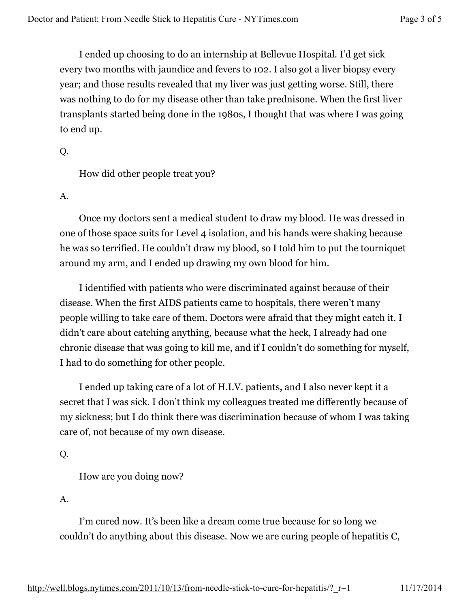I ended up choosing to do an internship at Bellevue Hospital. I'd get sick every two months with jaundice and fevers to 102. I also got a liver biopsy every year; and those results revealed that my liver was just getting worse. Still, there was nothing to do for my disease other than take prednisone. When the first liver transplants started being done in the 1980s, I thought that was where I was going to end up.

Q.

How did other people treat you?

A.

Once my doctors sent a medical student to draw my blood. He was dressed in one of those space suits for Level 4 isolation, and his hands were shaking because he was so terrified. He couldn't draw my blood, so I told him to put the tourniquet around my arm, and I ended up drawing my own blood for him.

I identified with patients who were discriminated against because of their disease. When the first AIDS patients came to hospitals, there weren't many people willing to take care of them. Doctors were afraid that they might catch it. I didn't care about catching anything, because what the heck, I already had one chronic disease that was going to kill me, and if I couldn't do something for myself, I had to do something for other people.

I ended up taking care of a lot of H.I.V. patients, and I also never kept it a secret that I was sick. I don't think my colleagues treated me differently because of my sickness; but I do think there was discrimination because of whom I was taking care of, not because of my own disease.

Q.

How are you doing now?

A.

I'm cured now. It's been like a dream come true because for so long we couldn't do anything about this disease. Now we are curing people of hepatitis C,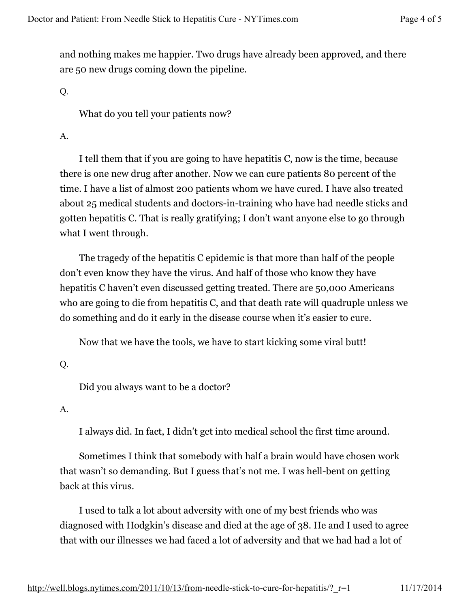and nothing makes me happier. Two drugs have already been approved, and there are 50 new drugs coming down the pipeline.

Q.

What do you tell your patients now?

#### A.

I tell them that if you are going to have hepatitis C, now is the time, because there is one new drug after another. Now we can cure patients 80 percent of the time. I have a list of almost 200 patients whom we have cured. I have also treated about 25 medical students and doctors-in-training who have had needle sticks and gotten hepatitis C. That is really gratifying; I don't want anyone else to go through what I went through.

The tragedy of the hepatitis C epidemic is that more than half of the people don't even know they have the virus. And half of those who know they have hepatitis C haven't even discussed getting treated. There are 50,000 Americans who are going to die from hepatitis C, and that death rate will quadruple unless we do something and do it early in the disease course when it's easier to cure.

Now that we have the tools, we have to start kicking some viral butt!

#### Q.

Did you always want to be a doctor?

#### A.

I always did. In fact, I didn't get into medical school the first time around.

Sometimes I think that somebody with half a brain would have chosen work that wasn't so demanding. But I guess that's not me. I was hell-bent on getting back at this virus.

I used to talk a lot about adversity with one of my best friends who was diagnosed with Hodgkin's disease and died at the age of 38. He and I used to agree that with our illnesses we had faced a lot of adversity and that we had had a lot of